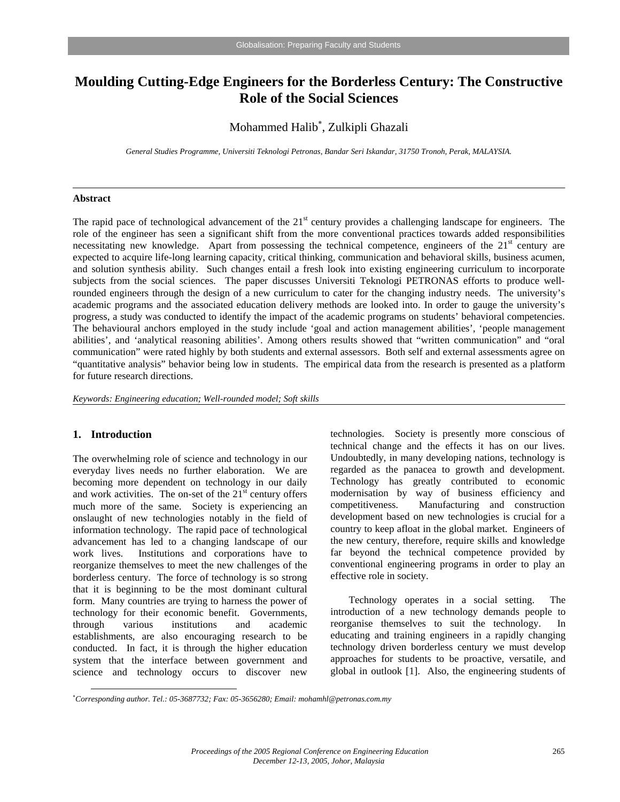# **Moulding Cutting-Edge Engineers for the Borderless Century: The Constructive Role of the Social Sciences**

# Mohammed Halib<sup>∗</sup> , Zulkipli Ghazali

*General Studies Programme, Universiti Teknologi Petronas, Bandar Seri Iskandar, 31750 Tronoh, Perak, MALAYSIA.* 

### **Abstract**

The rapid pace of technological advancement of the  $21<sup>st</sup>$  century provides a challenging landscape for engineers. The role of the engineer has seen a significant shift from the more conventional practices towards added responsibilities necessitating new knowledge. Apart from possessing the technical competence, engineers of the 21<sup>st</sup> century are expected to acquire life-long learning capacity, critical thinking, communication and behavioral skills, business acumen, and solution synthesis ability. Such changes entail a fresh look into existing engineering curriculum to incorporate subjects from the social sciences. The paper discusses Universiti Teknologi PETRONAS efforts to produce wellrounded engineers through the design of a new curriculum to cater for the changing industry needs. The university's academic programs and the associated education delivery methods are looked into. In order to gauge the university's progress, a study was conducted to identify the impact of the academic programs on students' behavioral competencies. The behavioural anchors employed in the study include 'goal and action management abilities', 'people management abilities', and 'analytical reasoning abilities'. Among others results showed that "written communication" and "oral communication" were rated highly by both students and external assessors. Both self and external assessments agree on "quantitative analysis" behavior being low in students. The empirical data from the research is presented as a platform for future research directions.

*Keywords: Engineering education; Well-rounded model; Soft skills* 

# **1. Introduction**

 $\overline{a}$ 

The overwhelming role of science and technology in our everyday lives needs no further elaboration. We are becoming more dependent on technology in our daily and work activities. The on-set of the  $21<sup>st</sup>$  century offers much more of the same. Society is experiencing an onslaught of new technologies notably in the field of information technology. The rapid pace of technological advancement has led to a changing landscape of our work lives. Institutions and corporations have to reorganize themselves to meet the new challenges of the borderless century. The force of technology is so strong that it is beginning to be the most dominant cultural form. Many countries are trying to harness the power of technology for their economic benefit. Governments, through various institutions and academic establishments, are also encouraging research to be conducted. In fact, it is through the higher education system that the interface between government and science and technology occurs to discover new

technologies. Society is presently more conscious of technical change and the effects it has on our lives. Undoubtedly, in many developing nations, technology is regarded as the panacea to growth and development. Technology has greatly contributed to economic modernisation by way of business efficiency and competitiveness. Manufacturing and construction development based on new technologies is crucial for a country to keep afloat in the global market. Engineers of the new century, therefore, require skills and knowledge far beyond the technical competence provided by conventional engineering programs in order to play an effective role in society.

Technology operates in a social setting. The introduction of a new technology demands people to reorganise themselves to suit the technology. In educating and training engineers in a rapidly changing technology driven borderless century we must develop approaches for students to be proactive, versatile, and global in outlook [1]. Also, the engineering students of

<sup>∗</sup> *Corresponding author. Tel.: 05-3687732; Fax: 05-3656280; Email: mohamhl@petronas.com.my*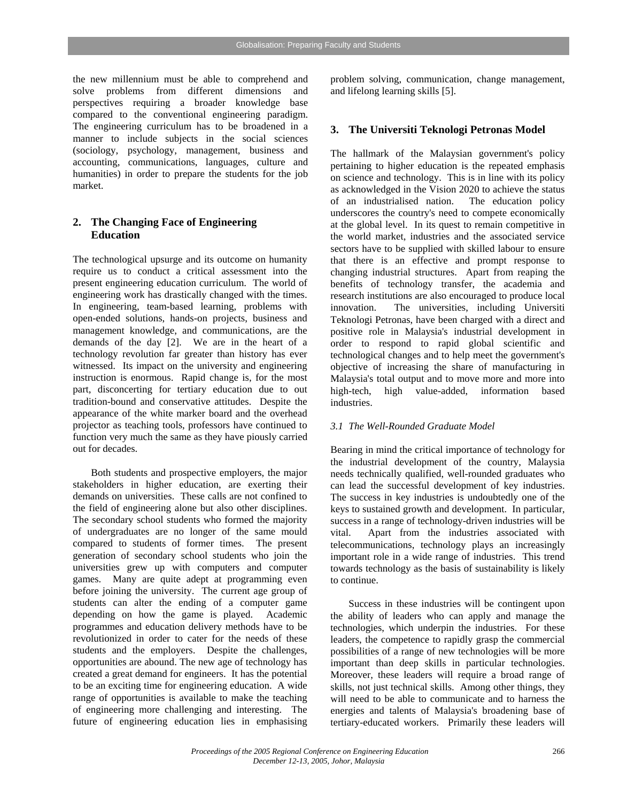the new millennium must be able to comprehend and solve problems from different dimensions and perspectives requiring a broader knowledge base compared to the conventional engineering paradigm. The engineering curriculum has to be broadened in a manner to include subjects in the social sciences (sociology, psychology, management, business and accounting, communications, languages, culture and humanities) in order to prepare the students for the job market.

# **2. The Changing Face of Engineering Education**

The technological upsurge and its outcome on humanity require us to conduct a critical assessment into the present engineering education curriculum. The world of engineering work has drastically changed with the times. In engineering, team-based learning, problems with open-ended solutions, hands-on projects, business and management knowledge, and communications, are the demands of the day [2]. We are in the heart of a technology revolution far greater than history has ever witnessed. Its impact on the university and engineering instruction is enormous. Rapid change is, for the most part, disconcerting for tertiary education due to out tradition-bound and conservative attitudes. Despite the appearance of the white marker board and the overhead projector as teaching tools, professors have continued to function very much the same as they have piously carried out for decades.

 Both students and prospective employers, the major stakeholders in higher education, are exerting their demands on universities. These calls are not confined to the field of engineering alone but also other disciplines. The secondary school students who formed the majority of undergraduates are no longer of the same mould compared to students of former times. The present generation of secondary school students who join the universities grew up with computers and computer games. Many are quite adept at programming even before joining the university. The current age group of students can alter the ending of a computer game depending on how the game is played. Academic programmes and education delivery methods have to be revolutionized in order to cater for the needs of these students and the employers. Despite the challenges, opportunities are abound. The new age of technology has created a great demand for engineers. It has the potential to be an exciting time for engineering education. A wide range of opportunities is available to make the teaching of engineering more challenging and interesting. The future of engineering education lies in emphasising

problem solving, communication, change management, and lifelong learning skills [5].

## **3. The Universiti Teknologi Petronas Model**

The hallmark of the Malaysian government's policy pertaining to higher education is the repeated emphasis on science and technology. This is in line with its policy as acknowledged in the Vision 2020 to achieve the status of an industrialised nation. The education policy underscores the country's need to compete economically at the global level. In its quest to remain competitive in the world market, industries and the associated service sectors have to be supplied with skilled labour to ensure that there is an effective and prompt response to changing industrial structures. Apart from reaping the benefits of technology transfer, the academia and research institutions are also encouraged to produce local innovation. The universities, including Universiti Teknologi Petronas, have been charged with a direct and positive role in Malaysia's industrial development in order to respond to rapid global scientific and technological changes and to help meet the government's objective of increasing the share of manufacturing in Malaysia's total output and to move more and more into high-tech, high value-added, information based industries.

### *3.1 The Well-Rounded Graduate Model*

Bearing in mind the critical importance of technology for the industrial development of the country, Malaysia needs technically qualified, well-rounded graduates who can lead the successful development of key industries. The success in key industries is undoubtedly one of the keys to sustained growth and development. In particular, success in a range of technology-driven industries will be vital. Apart from the industries associated with telecommunications, technology plays an increasingly important role in a wide range of industries. This trend towards technology as the basis of sustainability is likely to continue.

Success in these industries will be contingent upon the ability of leaders who can apply and manage the technologies, which underpin the industries. For these leaders, the competence to rapidly grasp the commercial possibilities of a range of new technologies will be more important than deep skills in particular technologies. Moreover, these leaders will require a broad range of skills, not just technical skills. Among other things, they will need to be able to communicate and to harness the energies and talents of Malaysia's broadening base of tertiary-educated workers. Primarily these leaders will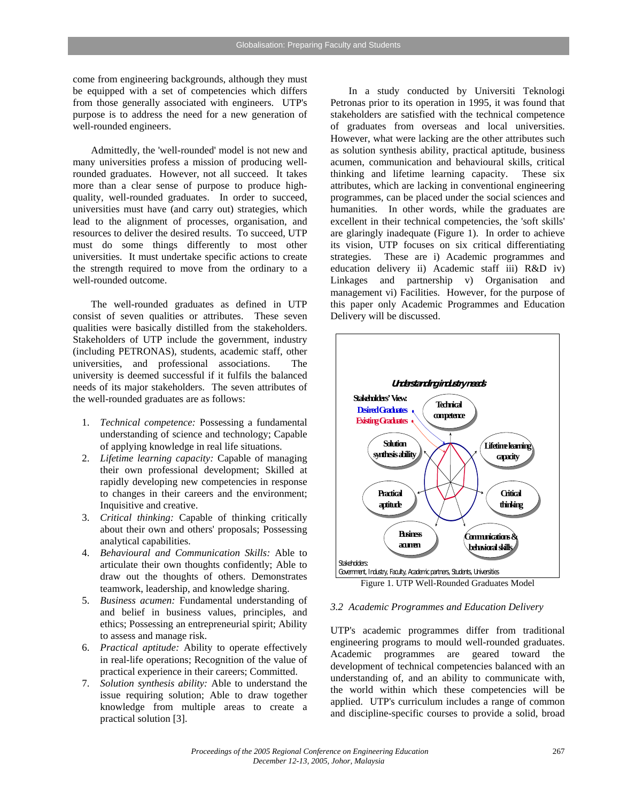come from engineering backgrounds, although they must be equipped with a set of competencies which differs from those generally associated with engineers. UTP's purpose is to address the need for a new generation of well-rounded engineers.

Admittedly, the 'well-rounded' model is not new and many universities profess a mission of producing wellrounded graduates. However, not all succeed. It takes more than a clear sense of purpose to produce highquality, well-rounded graduates. In order to succeed, universities must have (and carry out) strategies, which lead to the alignment of processes, organisation, and resources to deliver the desired results. To succeed, UTP must do some things differently to most other universities. It must undertake specific actions to create the strength required to move from the ordinary to a well-rounded outcome.

The well-rounded graduates as defined in UTP consist of seven qualities or attributes. These seven qualities were basically distilled from the stakeholders. Stakeholders of UTP include the government, industry (including PETRONAS), students, academic staff, other universities, and professional associations. The university is deemed successful if it fulfils the balanced needs of its major stakeholders. The seven attributes of the well-rounded graduates are as follows:

- 1. *Technical competence:* Possessing a fundamental understanding of science and technology; Capable of applying knowledge in real life situations.
- 2. *Lifetime learning capacity:* Capable of managing their own professional development; Skilled at rapidly developing new competencies in response to changes in their careers and the environment; Inquisitive and creative.
- 3. *Critical thinking:* Capable of thinking critically about their own and others' proposals; Possessing analytical capabilities.
- 4. *Behavioural and Communication Skills:* Able to articulate their own thoughts confidently; Able to draw out the thoughts of others. Demonstrates teamwork, leadership, and knowledge sharing.
- 5. *Business acumen:* Fundamental understanding of and belief in business values, principles, and ethics; Possessing an entrepreneurial spirit; Ability to assess and manage risk.
- 6. *Practical aptitude:* Ability to operate effectively in real-life operations; Recognition of the value of practical experience in their careers; Committed.
- 7. *Solution synthesis ability:* Able to understand the issue requiring solution; Able to draw together knowledge from multiple areas to create a practical solution [3].

In a study conducted by Universiti Teknologi Petronas prior to its operation in 1995, it was found that stakeholders are satisfied with the technical competence of graduates from overseas and local universities. However, what were lacking are the other attributes such as solution synthesis ability, practical aptitude, business acumen, communication and behavioural skills, critical thinking and lifetime learning capacity. These six attributes, which are lacking in conventional engineering programmes, can be placed under the social sciences and humanities. In other words, while the graduates are excellent in their technical competencies, the 'soft skills' are glaringly inadequate (Figure 1). In order to achieve its vision, UTP focuses on six critical differentiating strategies. These are i) Academic programmes and education delivery ii) Academic staff iii) R&D iv) Linkages and partnership v) Organisation and management vi) Facilities. However, for the purpose of this paper only Academic Programmes and Education Delivery will be discussed.



#### *3.2 Academic Programmes and Education Delivery*

UTP's academic programmes differ from traditional engineering programs to mould well-rounded graduates. Academic programmes are geared toward the development of technical competencies balanced with an understanding of, and an ability to communicate with, the world within which these competencies will be applied. UTP's curriculum includes a range of common and discipline-specific courses to provide a solid, broad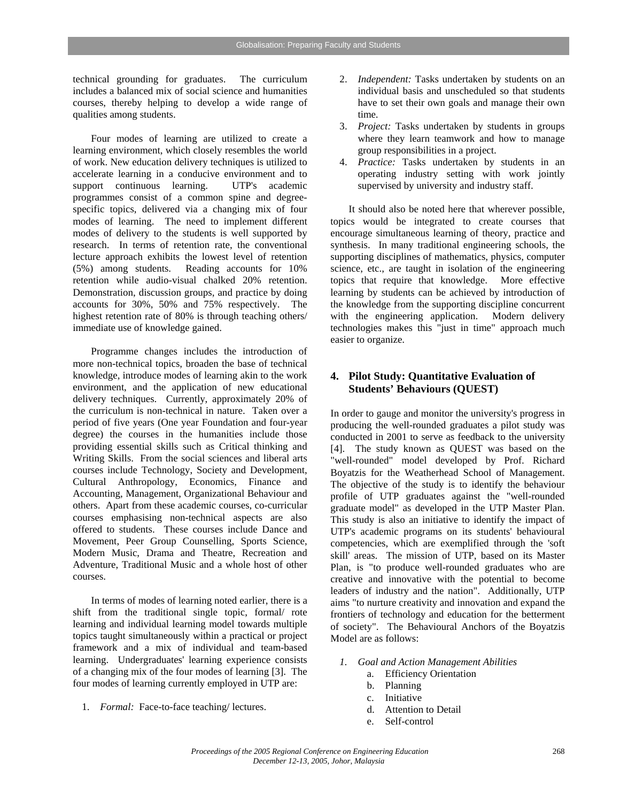technical grounding for graduates. The curriculum includes a balanced mix of social science and humanities courses, thereby helping to develop a wide range of qualities among students.

Four modes of learning are utilized to create a learning environment, which closely resembles the world of work. New education delivery techniques is utilized to accelerate learning in a conducive environment and to support continuous learning. UTP's academic programmes consist of a common spine and degreespecific topics, delivered via a changing mix of four modes of learning. The need to implement different modes of delivery to the students is well supported by research. In terms of retention rate, the conventional lecture approach exhibits the lowest level of retention (5%) among students. Reading accounts for 10% retention while audio-visual chalked 20% retention. Demonstration, discussion groups, and practice by doing accounts for 30%, 50% and 75% respectively. The highest retention rate of 80% is through teaching others/ immediate use of knowledge gained.

Programme changes includes the introduction of more non-technical topics, broaden the base of technical knowledge, introduce modes of learning akin to the work environment, and the application of new educational delivery techniques. Currently, approximately 20% of the curriculum is non-technical in nature. Taken over a period of five years (One year Foundation and four-year degree) the courses in the humanities include those providing essential skills such as Critical thinking and Writing Skills. From the social sciences and liberal arts courses include Technology, Society and Development, Cultural Anthropology, Economics, Finance and Accounting, Management, Organizational Behaviour and others. Apart from these academic courses, co-curricular courses emphasising non-technical aspects are also offered to students. These courses include Dance and Movement, Peer Group Counselling, Sports Science, Modern Music, Drama and Theatre, Recreation and Adventure, Traditional Music and a whole host of other courses.

In terms of modes of learning noted earlier, there is a shift from the traditional single topic, formal/ rote learning and individual learning model towards multiple topics taught simultaneously within a practical or project framework and a mix of individual and team-based learning. Undergraduates' learning experience consists of a changing mix of the four modes of learning [3]. The four modes of learning currently employed in UTP are:

1. *Formal:* Face-to-face teaching/ lectures.

- 2. *Independent:* Tasks undertaken by students on an individual basis and unscheduled so that students have to set their own goals and manage their own time.
- 3. *Project:* Tasks undertaken by students in groups where they learn teamwork and how to manage group responsibilities in a project.
- 4. *Practice:* Tasks undertaken by students in an operating industry setting with work jointly supervised by university and industry staff.

It should also be noted here that wherever possible, topics would be integrated to create courses that encourage simultaneous learning of theory, practice and synthesis. In many traditional engineering schools, the supporting disciplines of mathematics, physics, computer science, etc., are taught in isolation of the engineering topics that require that knowledge. More effective learning by students can be achieved by introduction of the knowledge from the supporting discipline concurrent with the engineering application. Modern delivery technologies makes this "just in time" approach much easier to organize.

## **4. Pilot Study: Quantitative Evaluation of Students' Behaviours (QUEST)**

In order to gauge and monitor the university's progress in producing the well-rounded graduates a pilot study was conducted in 2001 to serve as feedback to the university [4]. The study known as QUEST was based on the "well-rounded" model developed by Prof. Richard Boyatzis for the Weatherhead School of Management. The objective of the study is to identify the behaviour profile of UTP graduates against the "well-rounded graduate model" as developed in the UTP Master Plan. This study is also an initiative to identify the impact of UTP's academic programs on its students' behavioural competencies, which are exemplified through the 'soft skill' areas. The mission of UTP, based on its Master Plan, is "to produce well-rounded graduates who are creative and innovative with the potential to become leaders of industry and the nation". Additionally, UTP aims "to nurture creativity and innovation and expand the frontiers of technology and education for the betterment of society". The Behavioural Anchors of the Boyatzis Model are as follows:

- *1. Goal and Action Management Abilities* 
	- a. Efficiency Orientation
	- b. Planning
	- c. Initiative
	- d. Attention to Detail
	- e. Self-control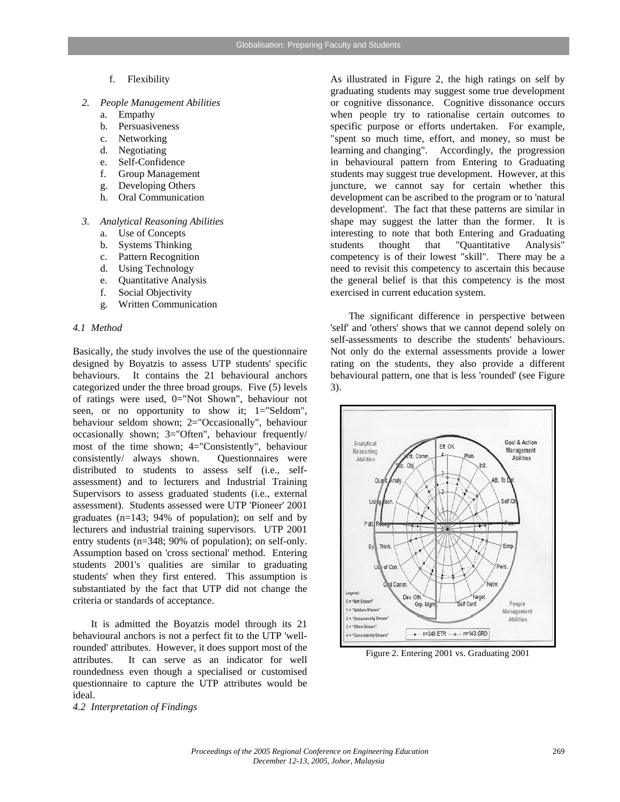- f. Flexibility
- *2. People Management Abilities* 
	- a. Empathy
	- b. Persuasiveness
	- c. Networking
	- d. Negotiating
	- e. Self-Confidence
	- f. Group Management
	- g. Developing Others
	- h. Oral Communication
- *3. Analytical Reasoning Abilities* 
	- a. Use of Concepts
	- b. Systems Thinking
	- c. Pattern Recognition
	- d. Using Technology
	- e. Quantitative Analysis
	- f. Social Objectivity
	- g. Written Communication

#### *4.1 Method*

Basically, the study involves the use of the questionnaire designed by Boyatzis to assess UTP students' specific behaviours. It contains the 21 behavioural anchors categorized under the three broad groups. Five (5) levels of ratings were used, 0="Not Shown", behaviour not seen, or no opportunity to show it; 1="Seldom", behaviour seldom shown; 2="Occasionally", behaviour occasionally shown; 3="Often", behaviour frequently/ most of the time shown; 4="Consistently", behaviour consistently/ always shown. Questionnaires were distributed to students to assess self (i.e., selfassessment) and to lecturers and Industrial Training Supervisors to assess graduated students (i.e., external assessment). Students assessed were UTP 'Pioneer' 2001 graduates (n=143; 94% of population); on self and by lecturers and industrial training supervisors. UTP 2001 entry students (n=348; 90% of population); on self-only. Assumption based on 'cross sectional' method. Entering students 2001's qualities are similar to graduating students' when they first entered. This assumption is substantiated by the fact that UTP did not change the criteria or standards of acceptance.

It is admitted the Boyatzis model through its 21 behavioural anchors is not a perfect fit to the UTP 'wellrounded' attributes. However, it does support most of the attributes. It can serve as an indicator for well roundedness even though a specialised or customised questionnaire to capture the UTP attributes would be ideal.

*4.2 Interpretation of Findings* 

As illustrated in Figure 2, the high ratings on self by graduating students may suggest some true development or cognitive dissonance. Cognitive dissonance occurs when people try to rationalise certain outcomes to specific purpose or efforts undertaken. For example, "spent so much time, effort, and money, so must be learning and changing". Accordingly, the progression in behavioural pattern from Entering to Graduating students may suggest true development. However, at this juncture, we cannot say for certain whether this development can be ascribed to the program or to 'natural development'. The fact that these patterns are similar in shape may suggest the latter than the former. It is interesting to note that both Entering and Graduating students thought that "Quantitative Analysis" competency is of their lowest "skill". There may be a need to revisit this competency to ascertain this because the general belief is that this competency is the most exercised in current education system.

The significant difference in perspective between 'self' and 'others' shows that we cannot depend solely on self-assessments to describe the students' behaviours. Not only do the external assessments provide a lower rating on the students, they also provide a different behavioural pattern, one that is less 'rounded' (see Figure 3).



Figure 2. Entering 2001 vs. Graduating 2001